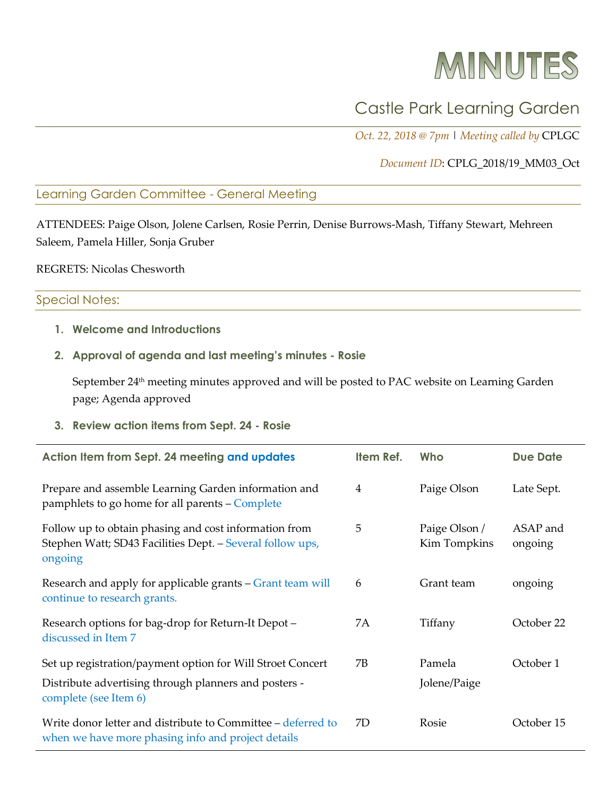# MINUTES

# Castle Park Learning Garden

*Oct. 22, 2018 @ 7pm* | *Meeting called by* CPLGC

*Document ID*: CPLG\_2018/19\_MM03\_Oct

#### Learning Garden Committee - General Meeting

ATTENDEES: Paige Olson, Jolene Carlsen, Rosie Perrin, Denise Burrows-Mash, Tiffany Stewart, Mehreen Saleem, Pamela Hiller, Sonja Gruber

REGRETS: Nicolas Chesworth

# Special Notes:

**1. Welcome and Introductions**

#### **2. Approval of agenda and last meeting's minutes - Rosie**

September 24<sup>th</sup> meeting minutes approved and will be posted to PAC website on Learning Garden page; Agenda approved

**3. Review action items from Sept. 24 - Rosie**

| Action Item from Sept. 24 meeting and updates                                                                                                | Item Ref. | Who                           | <b>Due Date</b>     |
|----------------------------------------------------------------------------------------------------------------------------------------------|-----------|-------------------------------|---------------------|
| Prepare and assemble Learning Garden information and<br>pamphlets to go home for all parents - Complete                                      | 4         | Paige Olson                   | Late Sept.          |
| Follow up to obtain phasing and cost information from<br>Stephen Watt; SD43 Facilities Dept. - Several follow ups,<br>ongoing                | 5         | Paige Olson /<br>Kim Tompkins | ASAP and<br>ongoing |
| Research and apply for applicable grants – Grant team will<br>continue to research grants.                                                   | 6         | Grant team                    | ongoing             |
| Research options for bag-drop for Return-It Depot -<br>discussed in Item 7                                                                   | 7A        | Tiffany                       | October 22          |
| Set up registration/payment option for Will Stroet Concert<br>Distribute advertising through planners and posters -<br>complete (see Item 6) | 7B        | Pamela<br>Jolene/Paige        | October 1           |
| Write donor letter and distribute to Committee – deferred to<br>when we have more phasing info and project details                           | 7D        | Rosie                         | October 15          |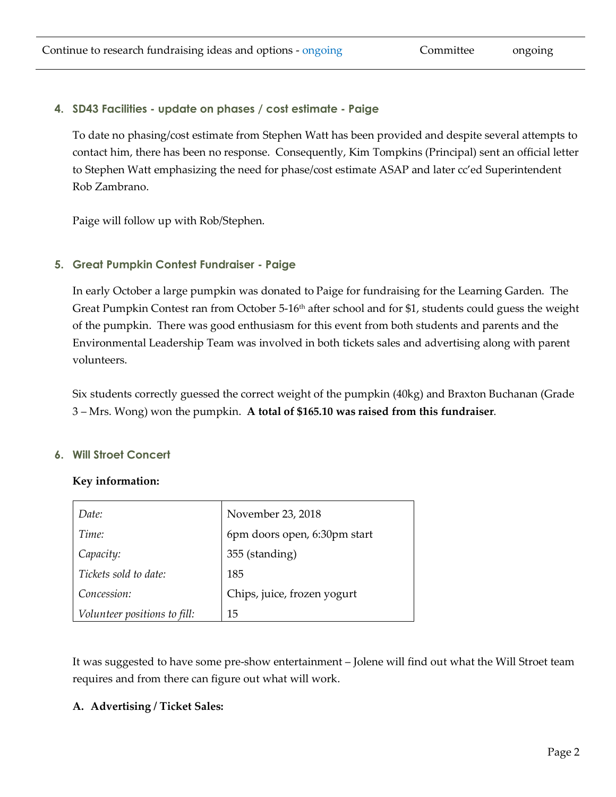# **4. SD43 Facilities - update on phases / cost estimate - Paige**

To date no phasing/cost estimate from Stephen Watt has been provided and despite several attempts to contact him, there has been no response. Consequently, Kim Tompkins (Principal) sent an official letter to Stephen Watt emphasizing the need for phase/cost estimate ASAP and later cc'ed Superintendent Rob Zambrano.

Paige will follow up with Rob/Stephen.

# **5. Great Pumpkin Contest Fundraiser - Paige**

In early October a large pumpkin was donated to Paige for fundraising for the Learning Garden. The Great Pumpkin Contest ran from October 5-16<sup>th</sup> after school and for \$1, students could guess the weight of the pumpkin. There was good enthusiasm for this event from both students and parents and the Environmental Leadership Team was involved in both tickets sales and advertising along with parent volunteers.

Six students correctly guessed the correct weight of the pumpkin (40kg) and Braxton Buchanan (Grade 3 – Mrs. Wong) won the pumpkin. **A total of \$165.10 was raised from this fundraiser**.

#### **6. Will Stroet Concert**

#### **Key information:**

| Date:                        | November 23, 2018            |
|------------------------------|------------------------------|
| Time:                        | 6pm doors open, 6:30pm start |
| Capacity:                    | 355 (standing)               |
| Tickets sold to date:        | 185                          |
| Concession:                  | Chips, juice, frozen yogurt  |
| Volunteer positions to fill: | 15                           |

It was suggested to have some pre-show entertainment – Jolene will find out what the Will Stroet team requires and from there can figure out what will work.

#### **A. Advertising / Ticket Sales:**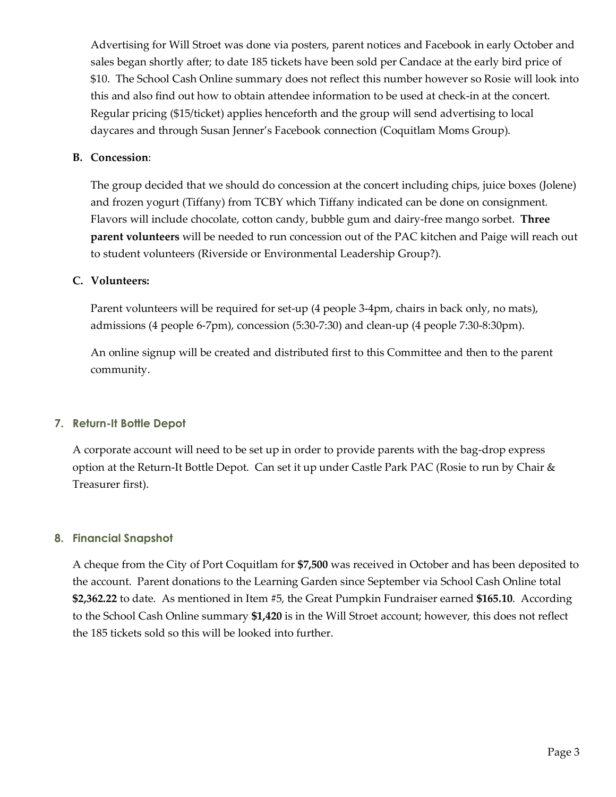Advertising for Will Stroet was done via posters, parent notices and Facebook in early October and sales began shortly after; to date 185 tickets have been sold per Candace at the early bird price of \$10. The School Cash Online summary does not reflect this number however so Rosie will look into this and also find out how to obtain attendee information to be used at check-in at the concert. Regular pricing (\$15/ticket) applies henceforth and the group will send advertising to local daycares and through Susan Jenner's Facebook connection (Coquitlam Moms Group).

#### **B. Concession**:

The group decided that we should do concession at the concert including chips, juice boxes (Jolene) and frozen yogurt (Tiffany) from TCBY which Tiffany indicated can be done on consignment. Flavors will include chocolate, cotton candy, bubble gum and dairy-free mango sorbet. **Three parent volunteers** will be needed to run concession out of the PAC kitchen and Paige will reach out to student volunteers (Riverside or Environmental Leadership Group?).

#### **C. Volunteers:**

Parent volunteers will be required for set-up (4 people 3-4pm, chairs in back only, no mats), admissions (4 people 6-7pm), concession (5:30-7:30) and clean-up (4 people 7:30-8:30pm).

An online signup will be created and distributed first to this Committee and then to the parent community.

#### **7. Return-It Bottle Depot**

A corporate account will need to be set up in order to provide parents with the bag-drop express option at the Return-It Bottle Depot. Can set it up under Castle Park PAC (Rosie to run by Chair & Treasurer first).

#### **8. Financial Snapshot**

A cheque from the City of Port Coquitlam for **\$7,500** was received in October and has been deposited to the account. Parent donations to the Learning Garden since September via School Cash Online total **\$2,362.22** to date. As mentioned in Item #5, the Great Pumpkin Fundraiser earned **\$165.10**. According to the School Cash Online summary **\$1,420** is in the Will Stroet account; however, this does not reflect the 185 tickets sold so this will be looked into further.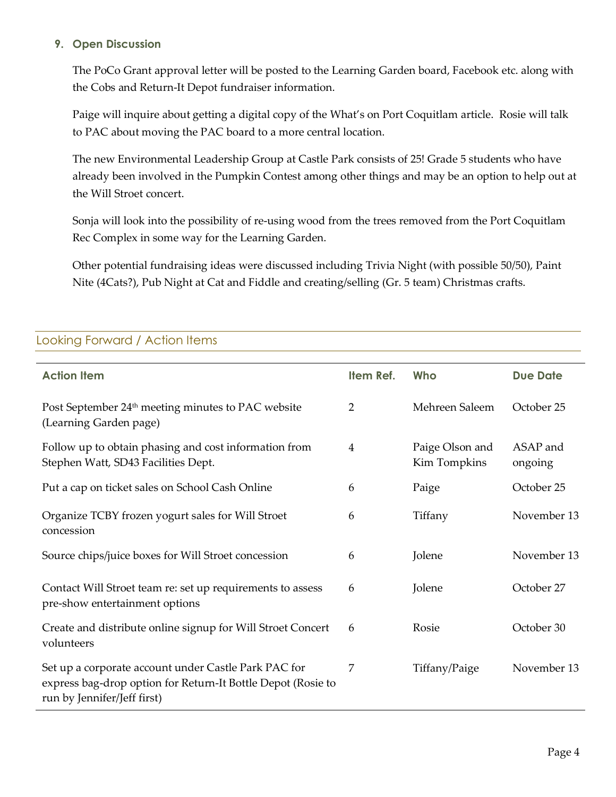#### **9. Open Discussion**

The PoCo Grant approval letter will be posted to the Learning Garden board, Facebook etc. along with the Cobs and Return-It Depot fundraiser information.

Paige will inquire about getting a digital copy of the What's on Port Coquitlam article. Rosie will talk to PAC about moving the PAC board to a more central location.

The new Environmental Leadership Group at Castle Park consists of 25! Grade 5 students who have already been involved in the Pumpkin Contest among other things and may be an option to help out at the Will Stroet concert.

Sonja will look into the possibility of re-using wood from the trees removed from the Port Coquitlam Rec Complex in some way for the Learning Garden.

Other potential fundraising ideas were discussed including Trivia Night (with possible 50/50), Paint Nite (4Cats?), Pub Night at Cat and Fiddle and creating/selling (Gr. 5 team) Christmas crafts.

# **Action Item Item Ref. Who Due Date** Post September 24<sup>th</sup> meeting minutes to PAC website (Learning Garden page) 2 Mehreen Saleem October 25 Follow up to obtain phasing and cost information from Stephen Watt, SD43 Facilities Dept. 4 Paige Olson and Kim Tompkins ASAP and ongoing Put a cap on ticket sales on School Cash Online 6 Paige Cotober 25 Organize TCBY frozen yogurt sales for Will Stroet concession 6 Tiffany November 13 Source chips/juice boxes for Will Stroet concession 6 Jolene November 13 Contact Will Stroet team re: set up requirements to assess pre-show entertainment options 6 Jolene October 27 Create and distribute online signup for Will Stroet Concert volunteers 6 Rosie October 30 Set up a corporate account under Castle Park PAC for express bag-drop option for Return-It Bottle Depot (Rosie to run by Jennifer/Jeff first) 7 Tiffany/Paige November 13

# Looking Forward / Action Items